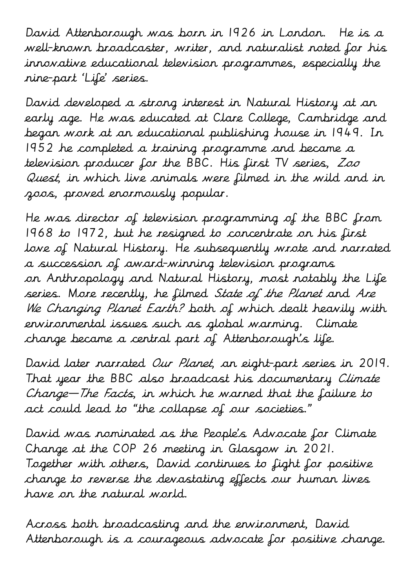David Attenborough was born in 1926 in [London.](https://www.britannica.com/place/London) He is a well-known broadcaster, writer, and naturalist noted for his innovative educational television programmes, especially the nine-part 'Life' series.

David developed a strong interest in Natural History at an early age. He was educated at Clare College, Cambridge and began work at an educational publishing house in 1949. In 1952 he completed a training programme and became a television producer for the BBC. His first TV series, Zoo Quest, in which live animals were filmed in the wild and in zoos, proved enormously popular.

He was director of television programming of the BBC from 1968 to 1972, but he resigned to concentrate on his first love of Natural History. He subsequently wrote and narrated a succession of award-winning television programs on [Anthropology](https://www.britannica.com/science/anthropology) and Natural History, most notably the Life series. More recently, he filmed State of the Planet and Are We Changing Planet Earth? both of which dealt heavily with environmental issues such as [global warming.](https://www.britannica.com/science/global-warming) Climate change became a central part of Attenborough's life.

David later narrated Our Planet, an eight-part series in 2019. That year the [BBC](https://www.britannica.com/topic/British-Broadcasting-Corporation) also broadcast his documentary Climate Change—The Facts, in which he warned that the failure to act could lead to "the collapse of our societies."

David was nominated as the People's Advocate for Climate Change at the COP 26 meeting in Glasgow in 2021. Together with others, David continues to fight for positive change to reverse the devastating effects our human lives have on the natural world.

Across both broadcasting and the environment, David Attenborough is a courageous advocate for positive change.